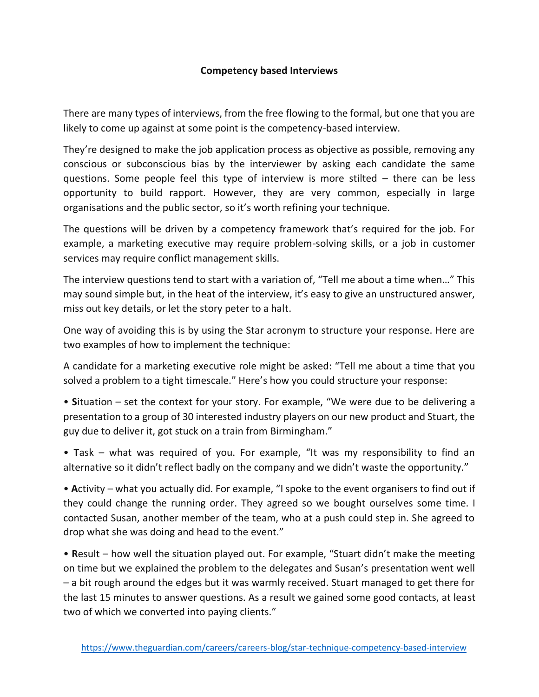## **Competency based Interviews**

There are many types of interviews, from the free flowing to the formal, but one that you are likely to come up against at some point is the competency-based interview.

They're designed to make the job application process as objective as possible, removing any conscious or subconscious bias by the interviewer by asking each candidate the same questions. Some people feel this type of interview is more stilted – there can be less opportunity to build rapport. However, they are very common, especially in large organisations and the public sector, so it's worth refining your technique.

The questions will be driven by a competency framework that's required for the job. For example, a marketing executive may require problem-solving skills, or a job in customer services may require conflict management skills.

The interview questions tend to start with a variation of, "Tell me about a time when…" This may sound simple but, in the heat of the interview, it's easy to give an unstructured answer, miss out key details, or let the story peter to a halt.

One way of avoiding this is by using the Star acronym to structure your response. Here are two examples of how to implement the technique:

A candidate for a marketing executive role might be asked: "Tell me about a time that you solved a problem to a tight timescale." Here's how you could structure your response:

• **S**ituation – set the context for your story. For example, "We were due to be delivering a presentation to a group of 30 interested industry players on our new product and Stuart, the guy due to deliver it, got stuck on a train from Birmingham."

• **T**ask – what was required of you. For example, "It was my responsibility to find an alternative so it didn't reflect badly on the company and we didn't waste the opportunity."

• **A**ctivity – what you actually did. For example, "I spoke to the event organisers to find out if they could change the running order. They agreed so we bought ourselves some time. I contacted Susan, another member of the team, who at a push could step in. She agreed to drop what she was doing and head to the event."

• **R**esult – how well the situation played out. For example, "Stuart didn't make the meeting on time but we explained the problem to the delegates and Susan's presentation went well – a bit rough around the edges but it was warmly received. Stuart managed to get there for the last 15 minutes to answer questions. As a result we gained some good contacts, at least two of which we converted into paying clients."